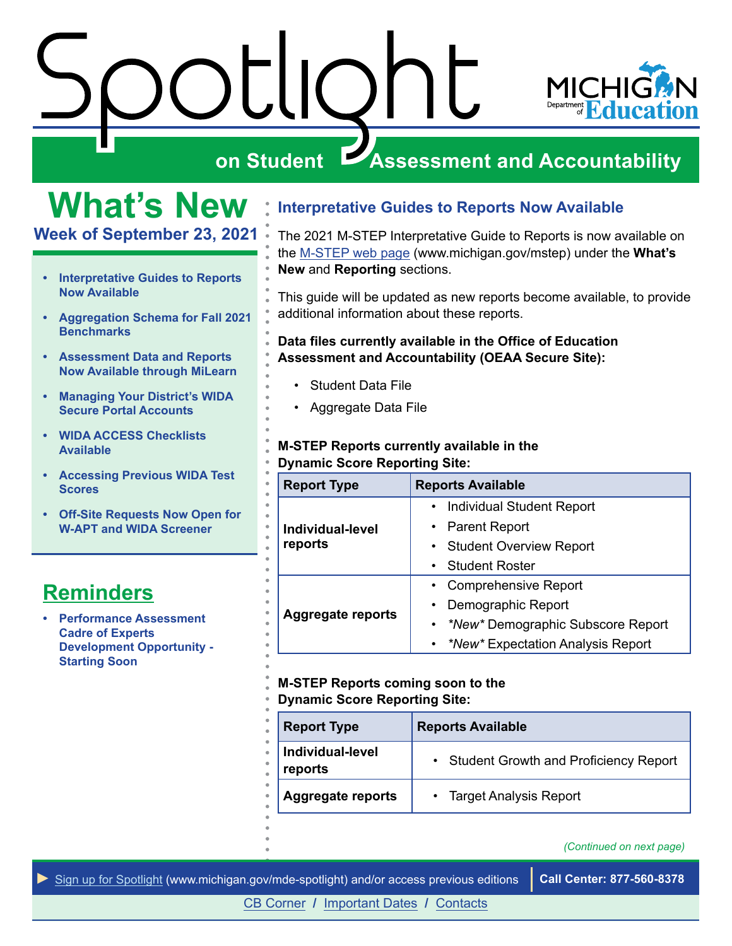<span id="page-0-0"></span>



# **What's New**

**Week of September 23, 2021** 

- **Interpretative Guides to Reports Now Available**
- **[Aggregation Schema for Fall 2021](#page-1-0)  [Benchmarks](#page-1-0)**
- **[Assessment Data and Reports](#page-1-0)  [Now Available through MiLearn](#page-1-0)**
- **[Managing Your District's WIDA](#page-2-0)  [Secure Portal Accounts](#page-2-0)**
- **[WIDA ACCESS Checklists](#page-2-0)  [Available](#page-2-0)**
- **[Accessing Previous WIDA Test](#page-3-0)  [Scores](#page-3-0)**
- **[Off-Site Requests Now Open for](#page-3-0)  [W-APT and WIDA Screener](#page-3-0)**

# **Reminders**

**• [Performance Assessment](#page-4-0)  [Cadre of Experts](#page-4-0)  [Development Opportunity -](#page-4-0) [Starting Soon](#page-4-0)** 

# **Interpretative Guides to Reports Now Available**

The 2021 M-STEP Interpretative Guide to Reports is now available on the [M-STEP web page](http://www.michigan.gov/mstep) ([www.michigan.gov/mstep\)](www.michigan.gov/mstep) under the **What's New** and **Reporting** sections.

This guide will be updated as new reports become available, to provide additional information about these reports.

#### **Data files currently available in the Office of Education Assessment and Accountability (OEAA Secure Site):**

- Student Data File
- Aggregate Data File

#### **M-STEP Reports currently available in the Dynamic Score Reporting Site:**

| <b>Report Type</b>          | <b>Reports Available</b>            |
|-----------------------------|-------------------------------------|
| Individual-level<br>reports | <b>Individual Student Report</b>    |
|                             | <b>Parent Report</b>                |
|                             | <b>Student Overview Report</b>      |
|                             | <b>Student Roster</b>               |
| <b>Aggregate reports</b>    | <b>Comprehensive Report</b>         |
|                             | Demographic Report                  |
|                             | • *New* Demographic Subscore Report |
|                             | • *New* Expectation Analysis Report |

#### **M-STEP Reports coming soon to the Dynamic Score Reporting Site:**

| <b>Report Type</b>          | <b>Reports Available</b>                |
|-----------------------------|-----------------------------------------|
| Individual-level<br>reports | • Student Growth and Proficiency Report |
| <b>Aggregate reports</b>    | • Target Analysis Report                |

*(Continued on next page)* 

*►* [Sign up for Spotlight](https://public.govdelivery.com/accounts/MIMDE/subscriber/new) [\(www.michigan.gov/mde-spotlight\)](www.michigan.gov/mde-spotlight) and/or access previous editions **Call Center: 877-560-8378**

[CB Corner](#page-5-0) **/** [Important Dates](#page-6-0) **/** [Contacts](#page-7-0)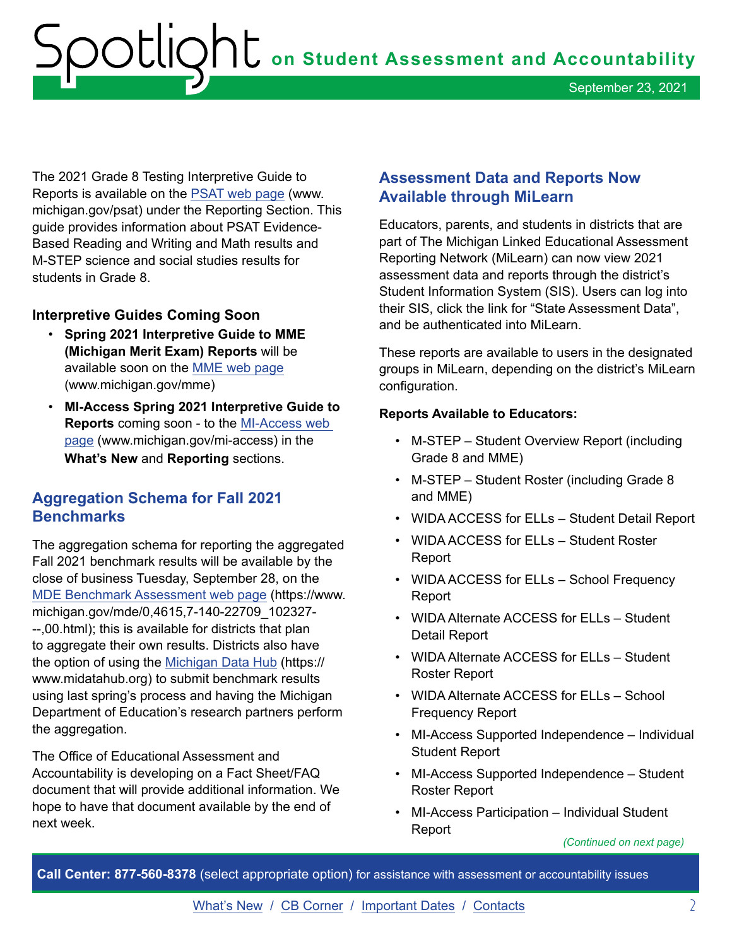<span id="page-1-0"></span>The 2021 Grade 8 Testing Interpretive Guide to Reports is available on the [PSAT web page](http://www.michigan.gov/psat) (www. [michigan.gov/psat\)](https://michigan.gov/psat) under the Reporting Section. This guide provides information about PSAT Evidence-Based Reading and Writing and Math results and M-STEP science and social studies results for students in Grade 8.

#### **Interpretive Guides Coming Soon**

- available soon on the <u>MME web page</u><br>(<www.michigan.gov/mme>) • **Spring 2021 Interpretive Guide to MME (Michigan Merit Exam) Reports** will be
- **MI-Access Spring 2021 Interpretive Guide to Reports** coming soon - to the [MI-Access web](http://www.michigan.gov/mi-access)  [page](http://www.michigan.gov/mi-access) [\(www.michigan.gov/mi-access\)](www.michigan.gov/mi-access) in the **What's New** and **Reporting** sections.

# **Aggregation Schema for Fall 2021 Benchmarks**

The aggregation schema for reporting the aggregated Fall 2021 benchmark results will be available by the close of business Tuesday, September 28, on the [MDE Benchmark Assessment web page](http://MDE Benchmark Assessment web pagehttps://www.michigan.gov/mde/0,4615,7-140-22709_102327---,00.html) ([https://www.](https://www) michigan.gov/mde/0,4615,7-140-22709\_102327- --,00.html); this is available for districts that plan to aggregate their own results. Districts also have the option of using the [Michigan Data Hub](https://www.midatahub.org/) (https:// [www.midatahub.org\)](www.midatahub.org) to submit benchmark results using last spring's process and having the Michigan Department of Education's research partners perform the aggregation.

The Office of Educational Assessment and Accountability is developing on a Fact Sheet/FAQ document that will provide additional information. We hope to have that document available by the end of next week.

# **Assessment Data and Reports Now Available through MiLearn**

Educators, parents, and students in districts that are part of The Michigan Linked Educational Assessment Reporting Network (MiLearn) can now view 2021 assessment data and reports through the district's Student Information System (SIS). Users can log into their SIS, click the link for "State Assessment Data", and be authenticated into MiLearn.

These reports are available to users in the designated groups in MiLearn, depending on the district's MiLearn configuration.

#### **Reports Available to Educators:**

- M-STEP Student Overview Report (including Grade 8 and MME)
- M-STEP Student Roster (including Grade 8 and MME)
- WIDA ACCESS for ELLs Student Detail Report
- • WIDA ACCESS for ELLs Student Roster Report
- • WIDA ACCESS for ELLs School Frequency Report
- • WIDA Alternate ACCESS for ELLs Student Detail Report
- • WIDA Alternate ACCESS for ELLs Student Roster Report
- • WIDA Alternate ACCESS for ELLs School Frequency Report
- MI-Access Supported Independence Individual Student Report
- MI-Access Supported Independence Student Roster Report
- MI-Access Participation Individual Student Report

*(Continued on next page)*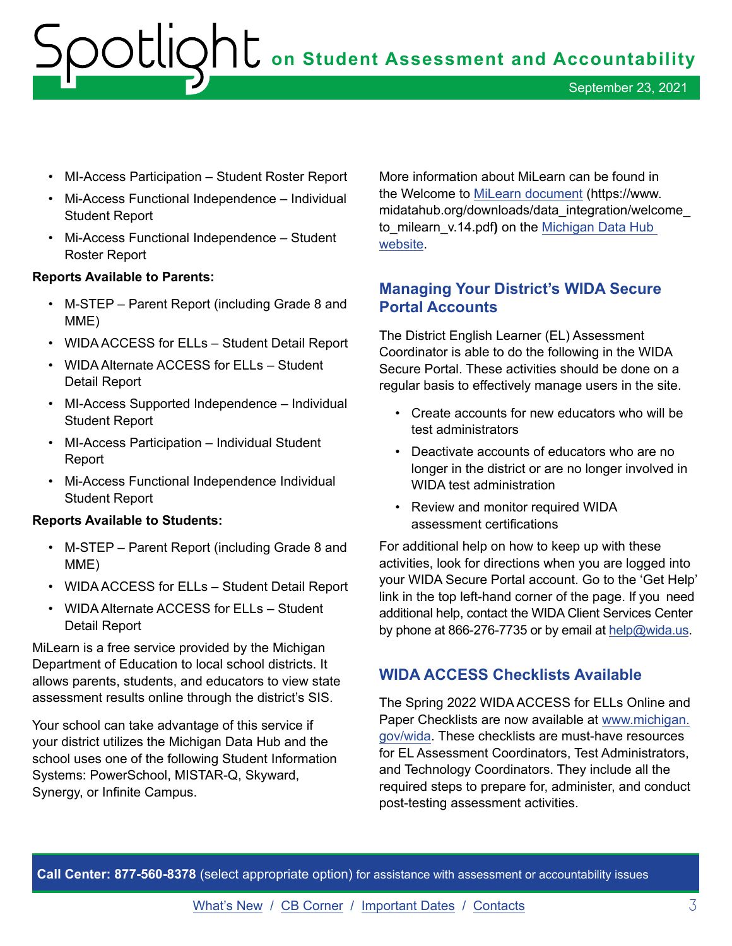- <span id="page-2-0"></span>• MI-Access Participation – Student Roster Report
- Mi-Access Functional Independence Individual Student Report
- Mi-Access Functional Independence Student Roster Report

#### **Reports Available to Parents:**

- M-STEP Parent Report (including Grade 8 and MME)
- WIDA ACCESS for ELLs Student Detail Report
- • WIDA Alternate ACCESS for ELLs Student Detail Report
- MI-Access Supported Independence Individual Student Report
- MI-Access Participation Individual Student Report
- Mi-Access Functional Independence Individual Student Report

#### **Reports Available to Students:**

- M-STEP Parent Report (including Grade 8 and MME)
- WIDA ACCESS for ELLs Student Detail Report
- • WIDA Alternate ACCESS for ELLs Student Detail Report

MiLearn is a free service provided by the Michigan Department of Education to local school districts. It allows parents, students, and educators to view state assessment results online through the district's SIS.

Your school can take advantage of this service if your district utilizes the Michigan Data Hub and the school uses one of the following Student Information Systems: PowerSchool, MISTAR-Q, Skyward, Synergy, or Infinite Campus.

More information about MiLearn can be found in the Welcome to [MiLearn document](https://www.midatahub.org/downloads/data_integration/welcome_to_milearn_v.14.pdf) [\(https://www.](https://www) [midatahub.org/downloads/data\\_integration/welcome\\_](https://midatahub.org/downloads/data_integration/welcome) to\_milearn\_v.14.pdf**)** on the [Michigan Data Hub](http://www.midatahub.org)  [website.](http://www.midatahub.org)

### **Managing Your District's WIDA Secure Portal Accounts**

The District English Learner (EL) Assessment Coordinator is able to do the following in the WIDA Secure Portal. These activities should be done on a regular basis to effectively manage users in the site.

- Create accounts for new educators who will be test administrators
- Deactivate accounts of educators who are no longer in the district or are no longer involved in WIDA test administration
- • Review and monitor required WIDA assessment certifications

 link in the top left-hand corner of the page. If you need For additional help on how to keep up with these activities, look for directions when you are logged into your WIDA Secure Portal account. Go to the 'Get Help' additional help, contact the WIDA Client Services Center by phone at 866-276-7735 or by email at [help@wida.us](mailto:help%40wida.us?subject=WIDA%20Secure%20Portal%20Accounts).

#### **WIDA ACCESS Checklists Available**

The Spring 2022 WIDA ACCESS for ELLs Online and Paper Checklists are now available at [www.michigan.](http://www.michigan.gov/wida) [gov/wida.](http://www.michigan.gov/wida) These checklists are must-have resources for EL Assessment Coordinators, Test Administrators, and Technology Coordinators. They include all the required steps to prepare for, administer, and conduct post-testing assessment activities.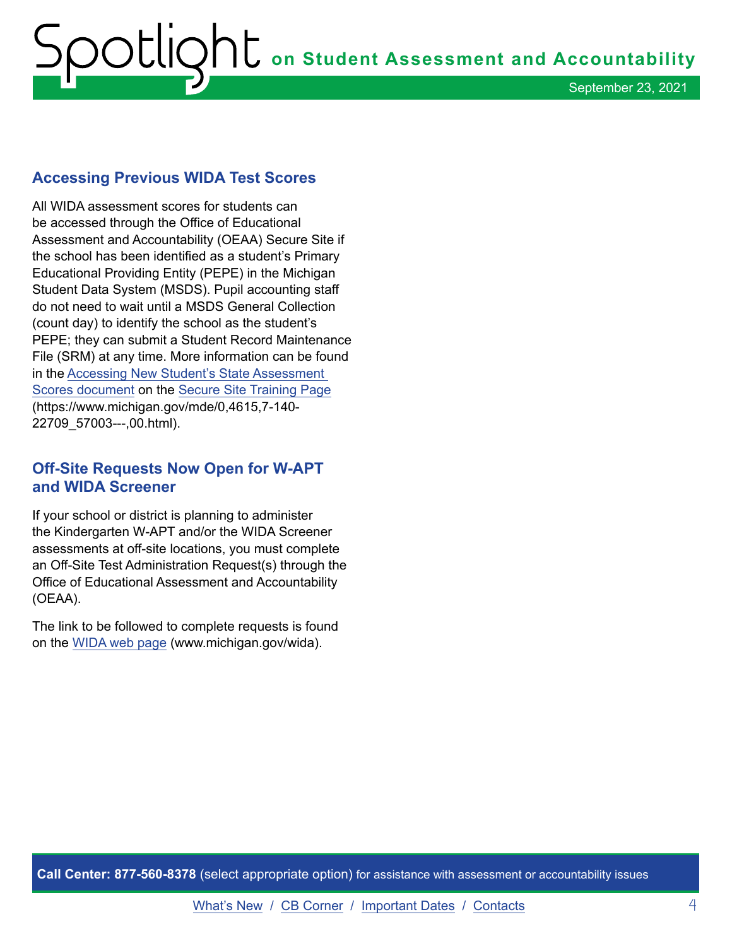# <span id="page-3-0"></span>**on Student Assessment and Accountability** September 23, 2021

### **Accessing Previous WIDA Test Scores**

All WIDA assessment scores for students can be accessed through the Office of Educational Assessment and Accountability (OEAA) Secure Site if the school has been identified as a student's Primary Educational Providing Entity (PEPE) in the Michigan Student Data System (MSDS). Pupil accounting staff do not need to wait until a MSDS General Collection (count day) to identify the school as the student's PEPE; they can submit a Student Record Maintenance File (SRM) at any time. More information can be found in the [Accessing New Student's State Assessment](https://www.michigan.gov/documents/mde/Accessing_New_Students_State_Asssessment_Scores_jl_538100_7.pdf)  [Scores document](https://www.michigan.gov/documents/mde/Accessing_New_Students_State_Asssessment_Scores_jl_538100_7.pdf) on the [Secure Site Training Page](https://www.michigan.gov/mde/0,4615,7-140-22709_57003---,00.html) (<https://www.michigan.gov/mde/0,4615,7-140>- 22709\_57003---,00.html).

# **Off-Site Requests Now Open for W-APT and WIDA Screener**

If your school or district is planning to administer the Kindergarten W-APT and/or the WIDA Screener assessments at off-site locations, you must complete an Off-Site Test Administration Request(s) through the Office of Educational Assessment and Accountability (OEAA).

The link to be followed to complete requests is found on the [WIDA web page](http://www.michigan.gov/wida) [\(www.michigan.gov/wida\)](www.michigan.gov/wida).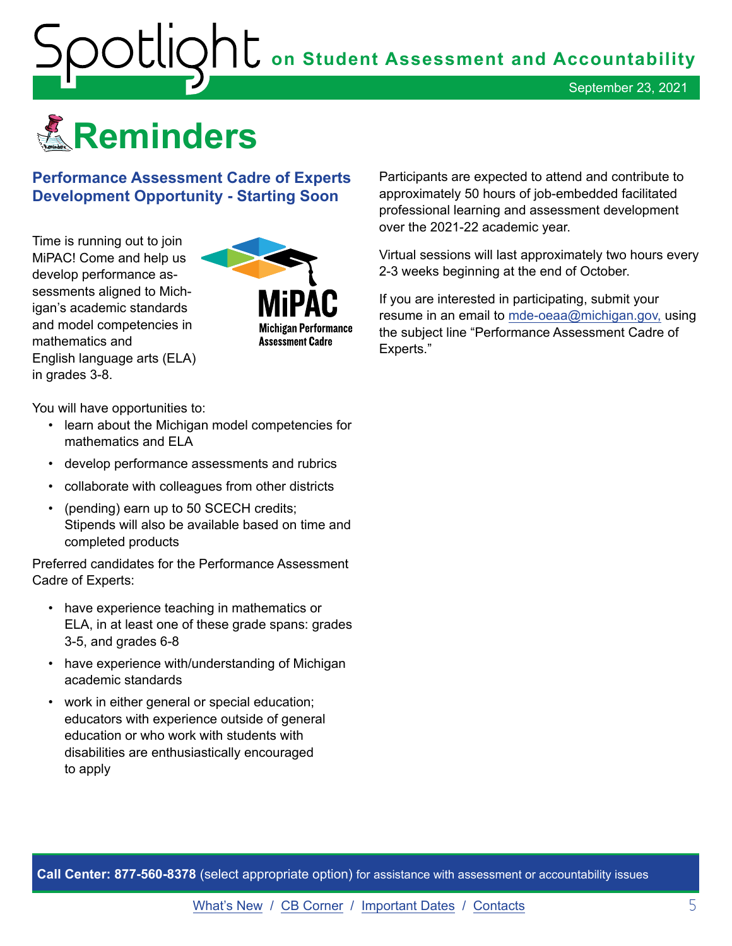<span id="page-4-0"></span>

**Performance Assessment Cadre of Experts Development Opportunity - Starting Soon** 

Time is running out to join MiPAC! Come and help us develop performance assessments aligned to Michigan's academic standards and model competencies in mathematics and English language arts (ELA) in grades 3-8.



You will have opportunities to:

- learn about the Michigan model competencies for mathematics and ELA
- develop performance assessments and rubrics
- collaborate with colleagues from other districts
- (pending) earn up to 50 SCECH credits; Stipends will also be available based on time and completed products

Preferred candidates for the Performance Assessment Cadre of Experts:

- have experience teaching in mathematics or ELA, in at least one of these grade spans: grades 3-5, and grades 6-8
- have experience with/understanding of Michigan academic standards
- work in either general or special education; educators with experience outside of general education or who work with students with disabilities are enthusiastically encouraged to apply

Participants are expected to attend and contribute to approximately 50 hours of job-embedded facilitated professional learning and assessment development over the 2021-22 academic year.

Virtual sessions will last approximately two hours every 2-3 weeks beginning at the end of October.

If you are interested in participating, submit your resume in an email to [mde-oeaa@michigan.gov,](mailto:mde-oeaa%40michigan.gov?subject=Performance%20Assessment%20Cadre%20of%20Experts) using the subject line "Performance Assessment Cadre of Experts."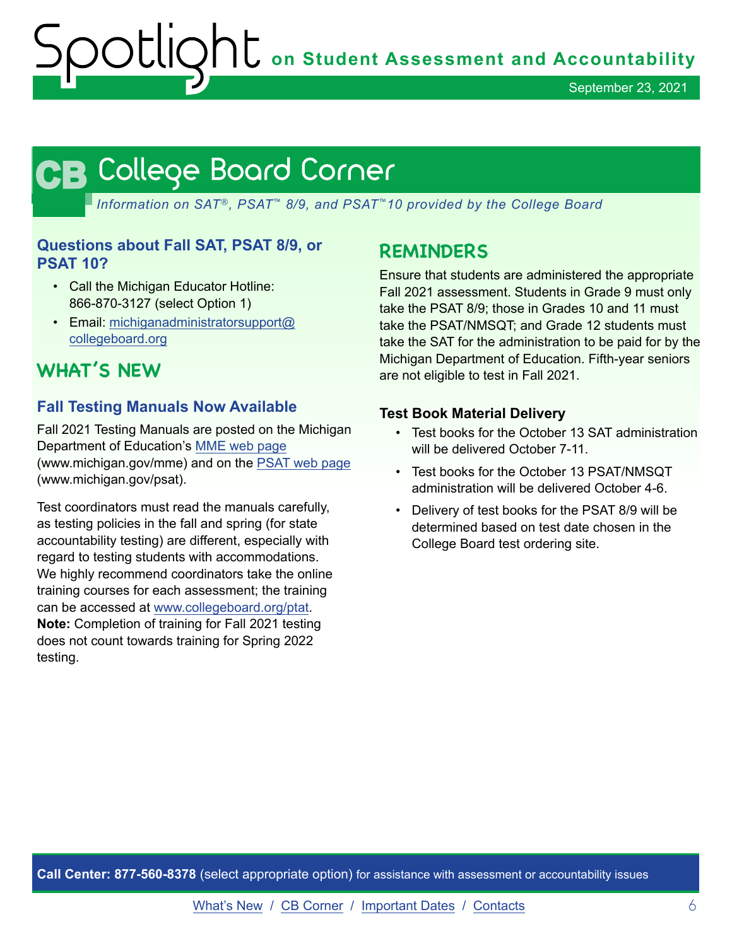# <span id="page-5-0"></span>**CB CB**

*Information on SAT*®*, PSAT*™ *8/9, and PSAT*™*10 provided by the College Board* 

### **Questions about Fall SAT, PSAT 8/9, or PSAT 10?**

- Call the Michigan Educator Hotline: 866-870-3127 (select Option 1)
- Email: [michiganadministratorsupport@](mailto:michiganadministratorsupport%40collegeboard.org?subject=) [collegeboard.org](mailto:michiganadministratorsupport%40collegeboard.org?subject=)

# **WHAT'S NEW**

# **Fall Testing Manuals Now Available**

Fall 2021 Testing Manuals are posted on the Michigan Department of Education's [MME web page](http://www.michigan.gov/mme)  (<www.michigan.gov/mme>) and on the [PSAT web pag](http://www.michigan.gov/psat)e ([www.michigan.gov/psat\)](www.michigan.gov/psat).

Test coordinators must read the manuals carefully, as testing policies in the fall and spring (for state accountability testing) are different, especially with regard to testing students with accommodations. We highly recommend coordinators take the online training courses for each assessment; the training can be accessed at [www.collegeboard.org/ptat](http://www.collegeboard.org/ptat). **Note:** Completion of training for Fall 2021 testing does not count towards training for Spring 2022 testing.

# **REMINDERS**

Ensure that students are administered the appropriate Fall 2021 assessment. Students in Grade 9 must only take the PSAT 8/9; those in Grades 10 and 11 must take the PSAT/NMSQT; and Grade 12 students must take the SAT for the administration to be paid for by the Michigan Department of Education. Fifth-year seniors are not eligible to test in Fall 2021.

#### **Test Book Material Delivery**

- Test books for the October 13 SAT administration will be delivered October 7-11.
- Test books for the October 13 PSAT/NMSQT administration will be delivered October 4-6.
- Delivery of test books for the PSAT 8/9 will be determined based on test date chosen in the College Board test ordering site.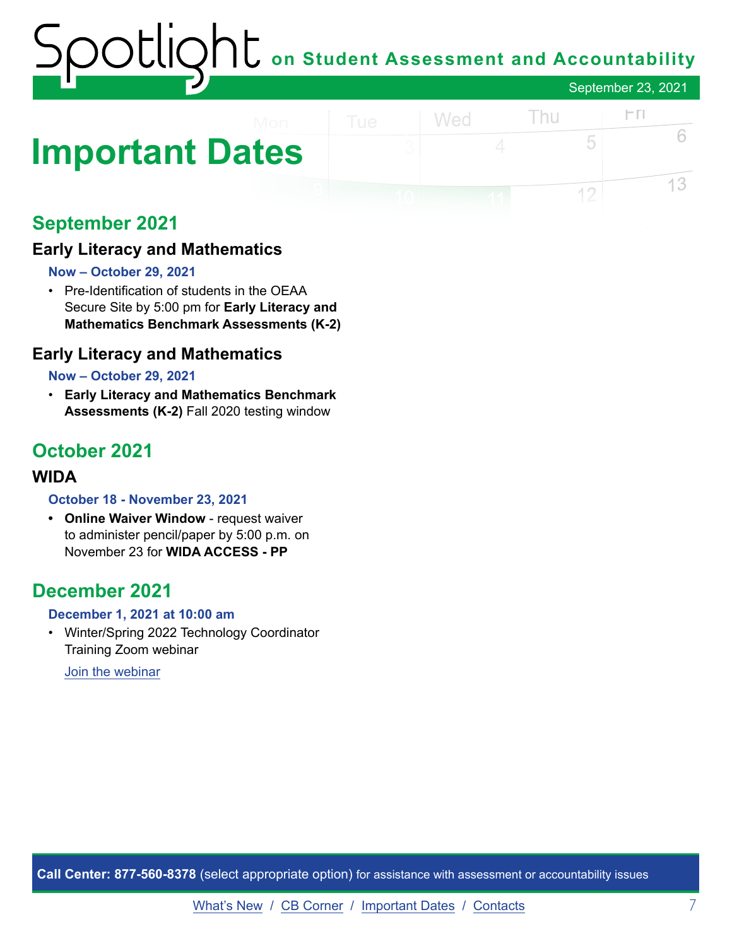# **on Student Assessment and Accountability** September 23, 2021

# <span id="page-6-0"></span>**Important Dates**

# **September 2021**

# **Early Literacy and Mathematics**

#### **Now – October 29, 2021**

• Pre-Identification of students in the OEAA Secure Site by 5:00 pm for **Early Literacy and Mathematics Benchmark Assessments (K-2)** 

### **Early Literacy and Mathematics**

#### **Now – October 29, 2021**

• **Early Literacy and Mathematics Benchmark Assessments (K-2)** Fall 2020 testing window

# **October 2021**

### **WIDA**

#### **October 18 - November 23, 2021**

**• Online Waiver Window** - request waiver to administer pencil/paper by 5:00 p.m. on November 23 for **WIDA ACCESS - PP** 

# **December 2021**

#### **December 1, 2021 at 10:00 am**

• Winter/Spring 2022 Technology Coordinator Training Zoom webinar

[Join the webinar](https://datarecognitioncorp.zoom.us/j/84084055143)

**Call Center: 877-560-8378** (select appropriate option) for assistance with assessment or accountability issues

 $FT$ 

6

13

Thu

5

 $12$ 

Wed